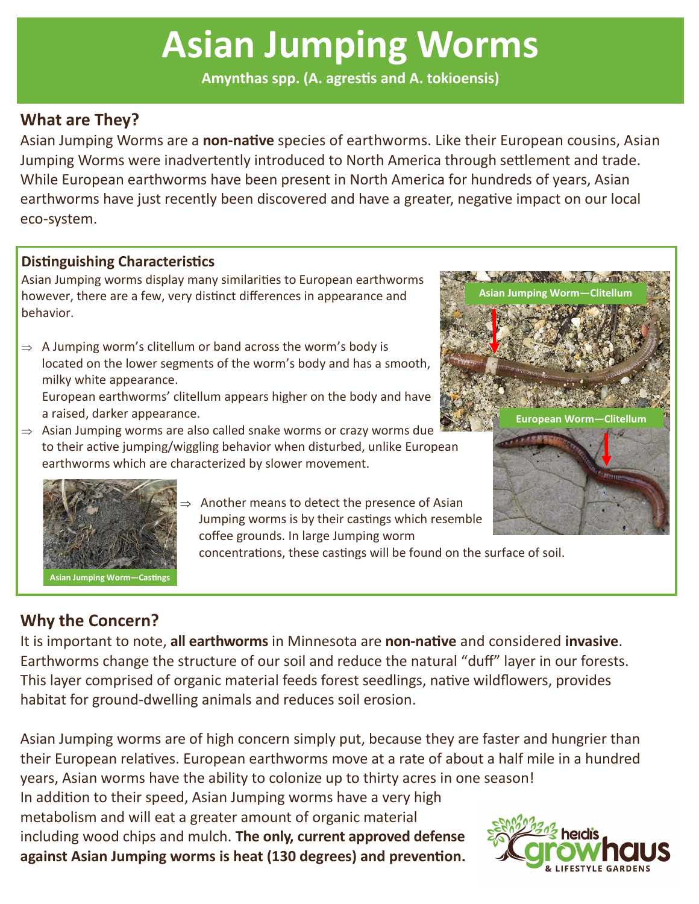# **Asian Jumping Worms**

**Amynthas spp. (A. agrestis and A. tokioensis)**

## **What are They?**

Asian Jumping Worms are a **non-native** species of earthworms. Like their European cousins, Asian Jumping Worms were inadvertently introduced to North America through settlement and trade. While European earthworms have been present in North America for hundreds of years, Asian earthworms have just recently been discovered and have a greater, negative impact on our local eco-system.

## **Distinguishing Characteristics**

Asian Jumping worms display many similarities to European earthworms however, there are a few, very distinct differences in appearance and behavior.

 $\Rightarrow$  A Jumping worm's clitellum or band across the worm's body is located on the lower segments of the worm's body and has a smooth, milky white appearance.

European earthworms' clitellum appears higher on the body and have a raised, darker appearance.

 $\Rightarrow$  Asian Jumping worms are also called snake worms or crazy worms due to their active jumping/wiggling behavior when disturbed, unlike European earthworms which are characterized by slower movement.





 Another means to detect the presence of Asian Jumping worms is by their castings which resemble coffee grounds. In large Jumping worm

concentrations, these castings will be found on the surface of soil.

# **Why the Concern?**

It is important to note, **all earthworms** in Minnesota are **non-native** and considered **invasive**. Earthworms change the structure of our soil and reduce the natural "duff" layer in our forests. This layer comprised of organic material feeds forest seedlings, native wildflowers, provides habitat for ground-dwelling animals and reduces soil erosion.

Asian Jumping worms are of high concern simply put, because they are faster and hungrier than their European relatives. European earthworms move at a rate of about a half mile in a hundred years, Asian worms have the ability to colonize up to thirty acres in one season! In addition to their speed, Asian Jumping worms have a very high

metabolism and will eat a greater amount of organic material including wood chips and mulch. **The only, current approved defense against Asian Jumping worms is heat (130 degrees) and prevention.**